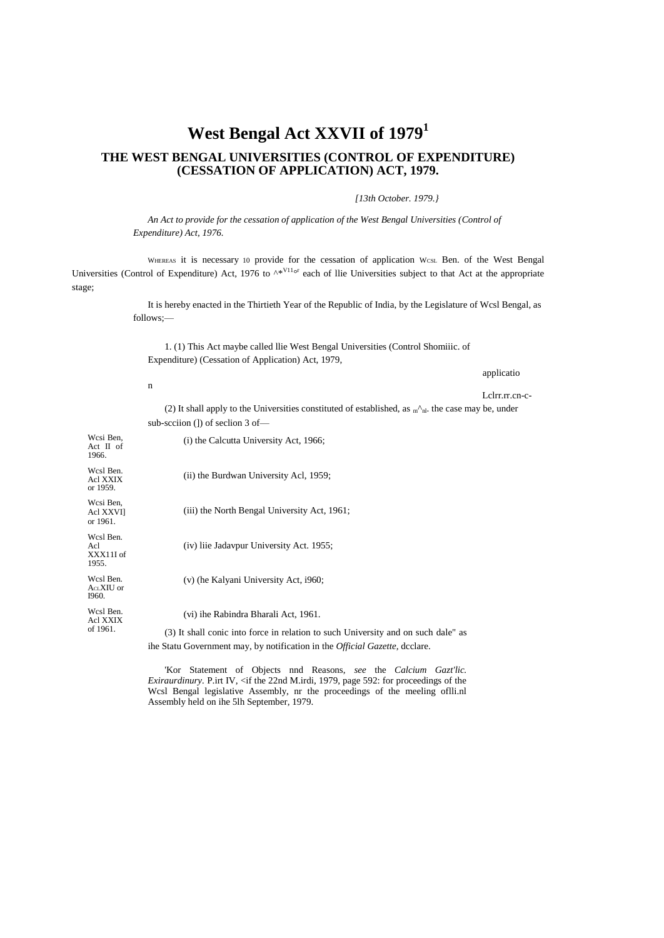## **West Bengal Act XXVII of 1979<sup>1</sup>**

## **THE WEST BENGAL UNIVERSITIES (CONTROL OF EXPENDITURE) (CESSATION OF APPLICATION) ACT, 1979.**

*[13th October. 1979.}*

*An Act to provide for the cessation of application of the West Bengal Universities (Control of Expenditure) Act, 1976.*

WHEREAS it is necessary 10 provide for the cessation of application WcsL Ben. of the West Bengal Universities (Control of Expenditure) Act, 1976 to  $\lambda^*$ <sup>V11</sup>° each of llie Universities subject to that Act at the appropriate stage;

> It is hereby enacted in the Thirtieth Year of the Republic of India, by the Legislature of Wcsl Bengal, as follows;—

1. (1) This Act maybe called llie West Bengal Universities (Control Shomiiic. of Expenditure) (Cessation of Application) Act, 1979,

applicatio

Lclrr.rr.cn-c- (2) It shall apply to the Universities constituted of established, as  $m^{\hat{ }}_n$ . the case may be, under sub-scciion (1) of seclion 3 of-

| Wesi Ben,<br>$Act \tI \tof$<br>1966.   | (i) the Calcutta University Act, 1966;                                              |
|----------------------------------------|-------------------------------------------------------------------------------------|
| Wcsl Ben.<br>Acl XXIX<br>or 1959.      | (ii) the Burdwan University Acl, 1959;                                              |
| Wcsi Ben,<br>Acl XXVI]<br>or 1961.     | (iii) the North Bengal University Act, 1961;                                        |
| Wcsl Ben.<br>Acl<br>XXX11I of<br>1955. | (iv) liie Jadavpur University Act. 1955;                                            |
| Wcsl Ben.<br>$AcLXIU$ or<br>I960.      | (v) (he Kalyani University Act, i960;                                               |
| Wcsl Ben.<br>Acl XXIX<br>of 1961.      | (vi) ihe Rabindra Bharali Act, 1961.                                                |
|                                        | (3) It shall conic into force in relation to such University and on such dale" as   |
|                                        | ihe Statu Government may, by notification in the <i>Official Gazette</i> , dcclare. |

n

'Kor Statement of Objects nnd Reasons, *see* the *Calcium Gazt'lic. Exiraurdinury.* P.irt IV, <if the 22nd M.irdi, 1979, page 592: for proceedings of the Wcsl Bengal legislative Assembly, nr the proceedings of the meeling oflli.nl Assembly held on ihe 5lh September, 1979.